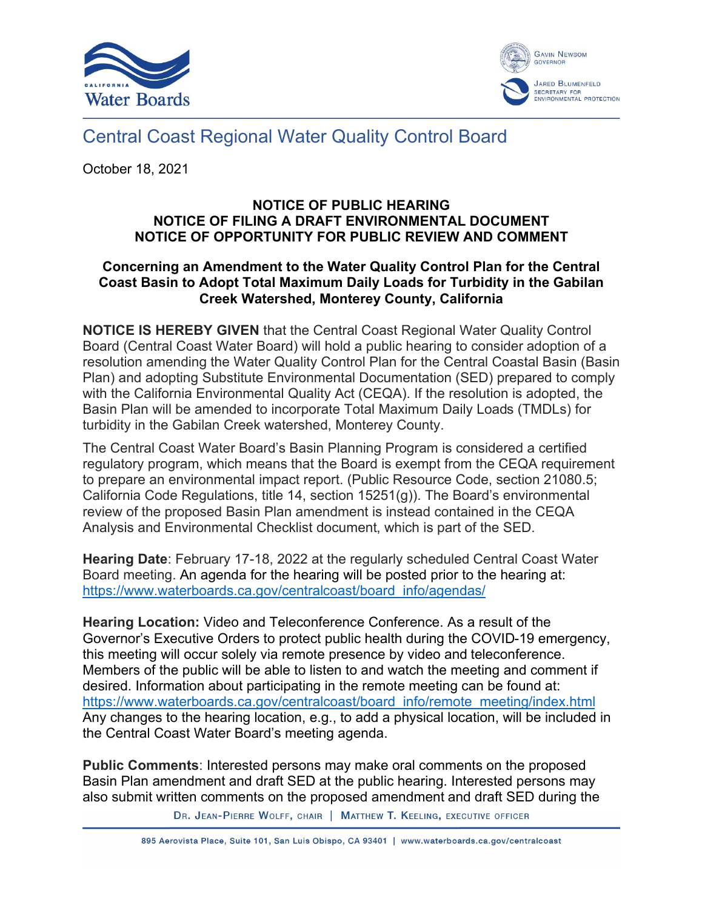



## Central Coast Regional Water Quality Control Board

October 18, 2021

## **NOTICE OF PUBLIC HEARING NOTICE OF FILING A DRAFT ENVIRONMENTAL DOCUMENT NOTICE OF OPPORTUNITY FOR PUBLIC REVIEW AND COMMENT**

## **Concerning an Amendment to the Water Quality Control Plan for the Central Coast Basin to Adopt Total Maximum Daily Loads for Turbidity in the Gabilan Creek Watershed, Monterey County, California**

**NOTICE IS HEREBY GIVEN** that the Central Coast Regional Water Quality Control Board (Central Coast Water Board) will hold a public hearing to consider adoption of a resolution amending the Water Quality Control Plan for the Central Coastal Basin (Basin Plan) and adopting Substitute Environmental Documentation (SED) prepared to comply with the California Environmental Quality Act (CEQA). If the resolution is adopted, the Basin Plan will be amended to incorporate Total Maximum Daily Loads (TMDLs) for turbidity in the Gabilan Creek watershed, Monterey County.

The Central Coast Water Board's Basin Planning Program is considered a certified regulatory program, which means that the Board is exempt from the CEQA requirement to prepare an environmental impact report. (Public Resource Code, section 21080.5; California Code Regulations, title 14, section 15251(g)). The Board's environmental review of the proposed Basin Plan amendment is instead contained in the CEQA Analysis and Environmental Checklist document, which is part of the SED.

**Hearing Date**: February 17-18, 2022 at the regularly scheduled Central Coast Water Board meeting. An agenda for the hearing will be posted prior to the hearing at: [https://www.waterboards.ca.gov/centralcoast/board\\_info/agendas/](https://www.waterboards.ca.gov/centralcoast/board_info/agendas/)

**Hearing Location:** Video and Teleconference Conference. As a result of the Governor's Executive Orders to protect public health during the COVID-19 emergency, this meeting will occur solely via remote presence by video and teleconference. Members of the public will be able to listen to and watch the meeting and comment if desired. Information about participating in the remote meeting can be found at: [https://www.waterboards.ca.gov/centralcoast/board\\_info/remote\\_meeting/index.html](https://www.waterboards.ca.gov/centralcoast/board_info/remote_meeting/index.html) Any changes to the hearing location, e.g., to add a physical location, will be included in the Central Coast Water Board's meeting agenda.

**Public Comments**: Interested persons may make oral comments on the proposed Basin Plan amendment and draft SED at the public hearing. Interested persons may also submit written comments on the proposed amendment and draft SED during the

DR. JEAN-PIERRE WOLFF, CHAIR | MATTHEW T. KEELING, EXECUTIVE OFFICER